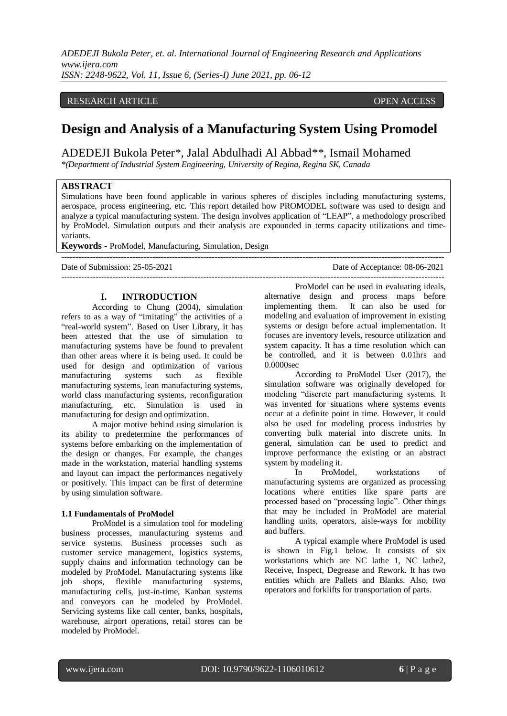# RESEARCH ARTICLE **OPEN ACCESS**

# **Design and Analysis of a Manufacturing System Using Promodel**

ADEDEJI Bukola Peter\*, Jalal [Abdulhadi Al Abbad\\*](about:blank)\*, Ismail Mohamed

*\*(Department of Industrial System Engineering, University of Regina, Regina SK, Canada*

# **ABSTRACT**

Simulations have been found applicable in various spheres of disciples including manufacturing systems, aerospace, process engineering, etc. This report detailed how PROMODEL software was used to design and analyze a typical manufacturing system. The design involves application of "LEAP", a methodology proscribed by ProModel. Simulation outputs and their analysis are expounded in terms capacity utilizations and timevariants.

**Keywords -** ProModel, Manufacturing, Simulation, Design

--------------------------------------------------------------------------------------------------------------------------------------- Date of Submission: 25-05-2021 Date of Acceptance: 08-06-2021  $-1-\frac{1}{2}$ 

# **I. INTRODUCTION**

According to Chung (2004), simulation refers to as a way of "imitating" the activities of a "real-world system". Based on User Library, it has been attested that the use of simulation to manufacturing systems have be found to prevalent than other areas where it is being used. It could be used for design and optimization of various manufacturing systems such as flexible manufacturing systems, lean manufacturing systems, world class manufacturing systems, reconfiguration manufacturing, etc. Simulation is used in manufacturing for design and optimization.

A major motive behind using simulation is its ability to predetermine the performances of systems before embarking on the implementation of the design or changes. For example, the changes made in the workstation, material handling systems and layout can impact the performances negatively or positively. This impact can be first of determine by using simulation software.

#### **1.1 Fundamentals of ProModel**

ProModel is a simulation tool for modeling business processes, manufacturing systems and service systems. Business processes such as customer service management, logistics systems, supply chains and information technology can be modeled by ProModel. Manufacturing systems like job shops, flexible manufacturing systems, manufacturing cells, just-in-time, Kanban systems and conveyors can be modeled by ProModel. Servicing systems like call center, banks, hospitals, warehouse, airport operations, retail stores can be modeled by ProModel.

ProModel can be used in evaluating ideals, alternative design and process maps before implementing them. It can also be used for modeling and evaluation of improvement in existing systems or design before actual implementation. It focuses are inventory levels, resource utilization and system capacity. It has a time resolution which can be controlled, and it is between 0.01hrs and 0.0000sec

According to ProModel User (2017), the simulation software was originally developed for modeling "discrete part manufacturing systems. It was invented for situations where systems events occur at a definite point in time. However, it could also be used for modeling process industries by converting bulk material into discrete units. In general, simulation can be used to predict and improve performance the existing or an abstract system by modeling it.

In ProModel, workstations of manufacturing systems are organized as processing locations where entities like spare parts are processed based on "processing logic". Other things that may be included in ProModel are material handling units, operators, aisle-ways for mobility and buffers.

A typical example where ProModel is used is shown in Fig.1 below. It consists of six workstations which are NC lathe 1, NC lathe 2, Receive, Inspect, Degrease and Rework. It has two entities which are Pallets and Blanks. Also, two operators and forklifts for transportation of parts.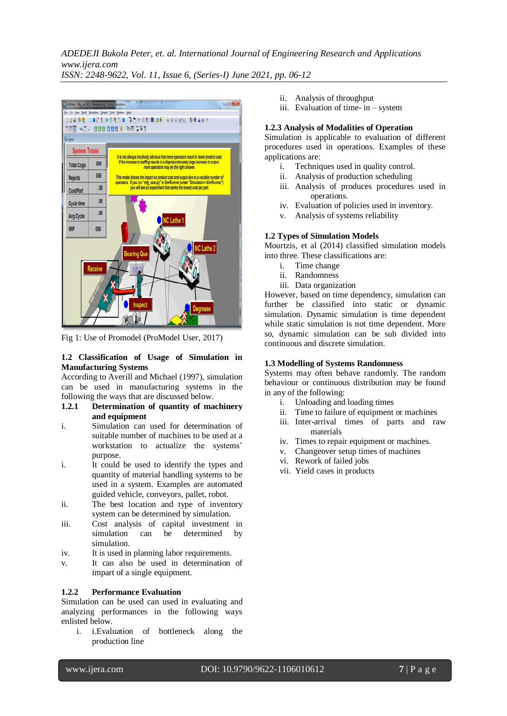

Fig 1: Use of Promodel (ProModel User, 2017)

# **1.2 Classification of Usage of Simulation in Manufacturing Systems**

According to Averill and Michael (1997), simulation can be used in manufacturing systems in the following the ways that are discussed below.

# **1.2.1 Determination of quantity of machinery and equipment**

- i. Simulation can used for determination of suitable number of machines to be used at a workstation to actualize the systems' purpose.
- i. It could be used to identify the types and quantity of material handling systems to be used in a system. Examples are automated guided vehicle, conveyors, pallet, robot.
- ii. The best location and type of inventory system can be determined by simulation.
- iii. Cost analysis of capital investment in simulation can be determined by simulation.
- iv. It is used in planning labor requirements.
- v. It can also be used in determination of impart of a single equipment.

# **1.2.2 Performance Evaluation**

Simulation can be used can used in evaluating and analyzing performances in the following ways enlisted below.

i. i.Evaluation of bottleneck along the production line

- ii. Analysis of throughput
- iii. Evaluation of time- in system

## **1.2.3 Analysis of Modalities of Operation**

Simulation is applicable to evaluation of different procedures used in operations. Examples of these applications are:

- i. Techniques used in quality control.
- ii. Analysis of production scheduling
- iii. Analysis of produces procedures used in operations.
- iv. Evaluation of policies used in inventory.
- v. Analysis of systems reliability

## **1.2 Types of Simulation Models**

Mourtzis, et al (2014) classified simulation models into three. These classifications are:

- i. Time change
- ii. Randomness
- iii. Data organization

However, based on time dependency, simulation can further be classified into static or dynamic simulation. Dynamic simulation is time dependent while static simulation is not time dependent. More so, dynamic simulation can be sub divided into continuous and discrete simulation.

# **1.3 Modelling of Systems Randomness**

Systems may often behave randomly. The random behaviour or continuous distribution may be found in any of the following:

- i. Unloading and loading times
- ii. Time to failure of equipment or machines
- iii. Inter-arrival times of parts and raw materials
- iv. Times to repair equipment or machines.
- v. Changeover setup times of machines
- vi. Rework of failed jobs
- vii. Yield cases in products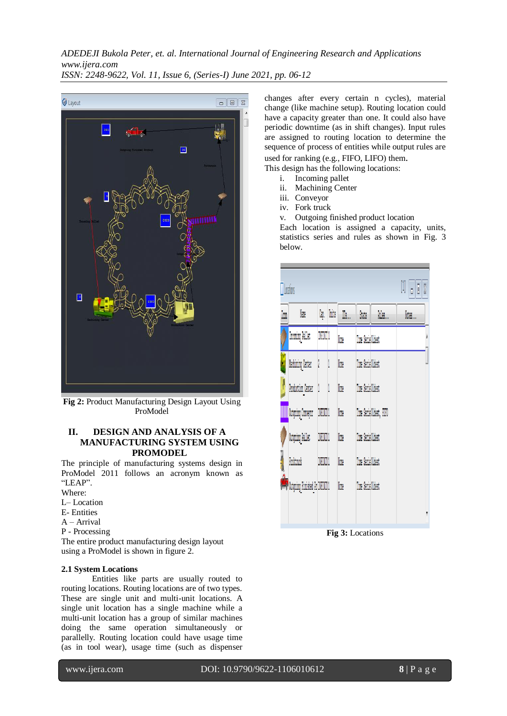

**Fig 2:** Product Manufacturing Design Layout Using ProModel

# **II. DESIGN AND ANALYSIS OF A MANUFACTURING SYSTEM USING PROMODEL**

The principle of manufacturing systems design in ProModel 2011 follows an acronym known as "LEAP".

- Where:
- L– Location
- E- Entities
- A Arrival
- P Processing

The entire product manufacturing design layout using a ProModel is shown in figure 2.

# **2.1 System Locations**

Entities like parts are usually routed to routing locations. Routing locations are of two types. These are single unit and multi-unit locations. A single unit location has a single machine while a multi-unit location has a group of similar machines doing the same operation simultaneously or parallelly. Routing location could have usage time (as in tool wear), usage time (such as dispenser

changes after every certain n cycles), material change (like machine setup). Routing location could have a capacity greater than one. It could also have periodic downtime (as in shift changes). Input rules are assigned to routing location to determine the sequence of process of entities while output rules are used for ranking (e.g., FIFO, LIFO) them.

This design has the following locations:

- i. Incoming pallet
- ii. Machining Center
- iii. Conveyor
- iv. Fork truck

v. Outgoing finished product location

Each location is assigned a capacity, units, statistics series and rules as shown in Fig. 3 below.

| İm | lin                           | Cap. Units    |   | M.   | State             | kules                   | Notes. |
|----|-------------------------------|---------------|---|------|-------------------|-------------------------|--------|
|    | <b>Incoming Pallet</b>        | DVDD 1        |   | None | Time Serie Oldest |                         |        |
|    | Machining Center              | $\frac{1}{2}$ | 1 | None | Time Serie Oldest |                         |        |
|    | Production Center             | l             | 1 | None | Time Serie Oldest |                         |        |
|    | <b>WWW.</b> Outgoing Conveyor | DRUM!         |   | None |                   | Time Serie Oldest, FIFO |        |
|    | Outgoing Pallet               | DVDD1         |   | None | Time Serie Oldest |                         |        |
|    | Torktruck                     | <b>DRUM!</b>  |   | None | Time Serie Oldest |                         |        |
|    | Outgoing Finished Pr INFINIT1 |               |   | None | Time Serie Oldest |                         |        |

**Fig 3:** Locations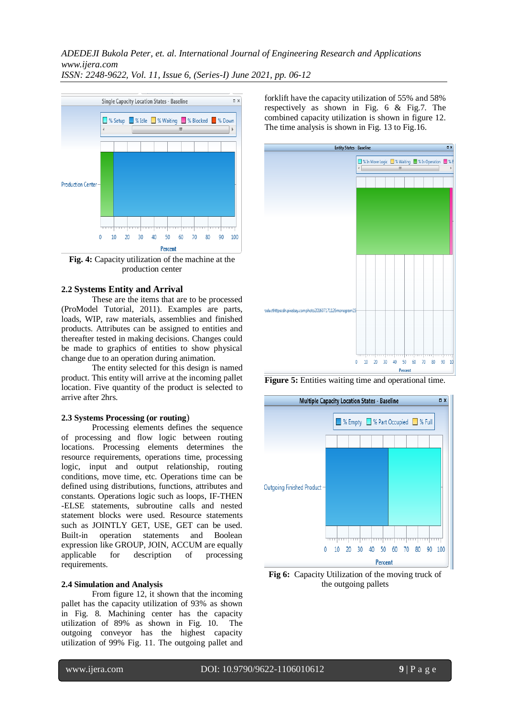

**Fig. 4:** Capacity utilization of the machine at the production center

# **2.2 Systems Entity and Arrival**

These are the items that are to be processed (ProModel Tutorial, 2011). Examples are parts, loads, WIP, raw materials, assemblies and finished products. Attributes can be assigned to entities and thereafter tested in making decisions. Changes could be made to graphics of entities to show physical change due to an operation during animation.

The entity selected for this design is named product. This entity will arrive at the incoming pallet location. Five quantity of the product is selected to arrive after 2hrs.

#### **2.3 Systems Processing (or routing**)

Processing elements defines the sequence of processing and flow logic between routing locations. Processing elements determines the resource requirements, operations time, processing logic, input and output relationship, routing conditions, move time, etc. Operations time can be defined using distributions, functions, attributes and constants. Operations logic such as loops, IF-THEN -ELSE statements, subroutine calls and nested statement blocks were used. Resource statements such as JOINTLY GET, USE, GET can be used. Built-in operation statements and Boolean expression like GROUP, JOIN, ACCUM are equally applicable for description of processing requirements.

#### **2.4 Simulation and Analysis**

From figure 12, it shown that the incoming pallet has the capacity utilization of 93% as shown in Fig. 8. Machining center has the capacity utilization of 89% as shown in Fig. 10. The outgoing conveyor has the highest capacity utilization of 99% Fig. 11. The outgoing pallet and forklift have the capacity utilization of 55% and 58% respectively as shown in Fig. 6 & Fig.7. The combined capacity utilization is shown in figure 12. The time analysis is shown in Fig. 13 to Fig.16.



**Figure 5:** Entities waiting time and operational time.



**Fig 6:** Capacity Utilization of the moving truck of the outgoing pallets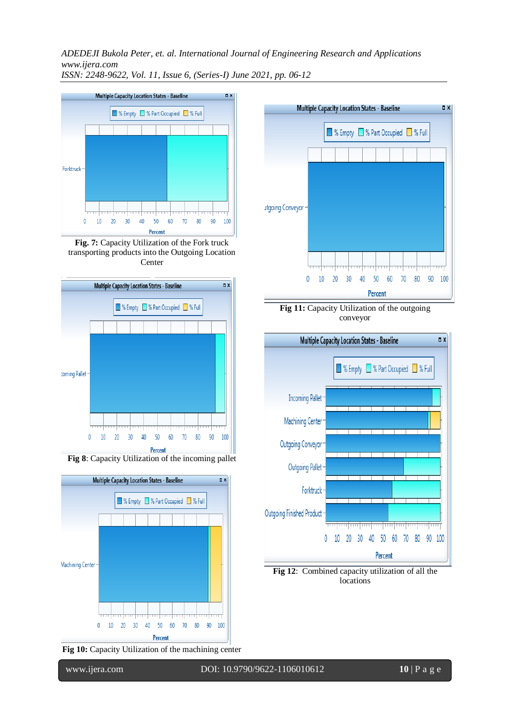

**Fig. 7:** Capacity Utilization of the Fork truck transporting products into the Outgoing Location Center



**Fig 8**: Capacity Utilization of the incoming pallet



**Fig 10:** Capacity Utilization of the machining center



**Fig 12**: Combined capacity utilization of all the locations

0 10 20 30 40 50 60 70 80 90 100

Percent

Outgoing Pallet

Outgoing Finished Product

Forktruck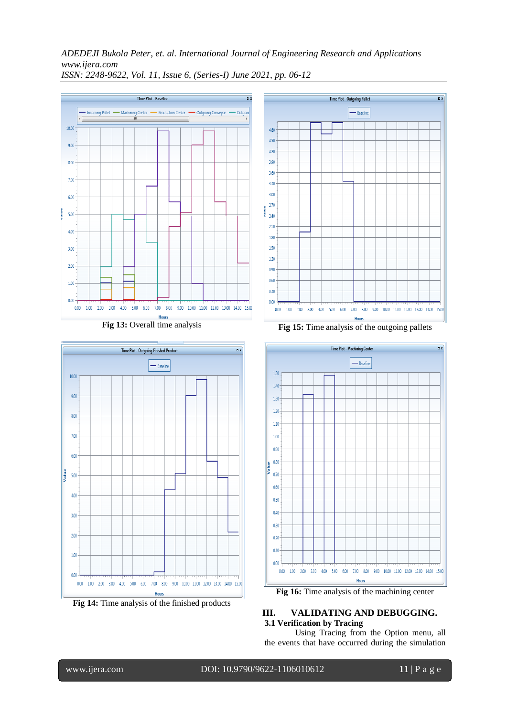

**Fig 13:** Overall time analysis



**Fig 14:** Time analysis of the finished products



**Fig 15:** Time analysis of the outgoing pallets



**Fig 16:** Time analysis of the machining center

# **III. VALIDATING AND DEBUGGING. 3.1 Verification by Tracing**

Using Tracing from the Option menu, all the events that have occurred during the simulation

www.ijera.com DOI: 10.9790/9622-1106010612 **11** | P a g e